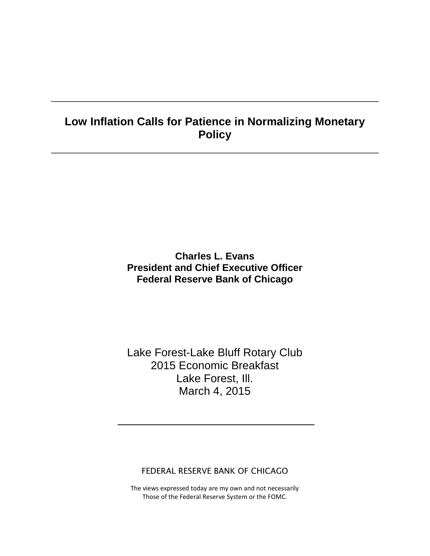# **Low Inflation Calls for Patience in Normalizing Monetary Policy**

## **Charles L. Evans President and Chief Executive Officer Federal Reserve Bank of Chicago**

# Lake Forest-Lake Bluff Rotary Club 2015 Economic Breakfast Lake Forest, Ill. March 4, 2015

#### FEDERAL RESERVE BANK OF CHICAGO

The views expressed today are my own and not necessarily Those of the Federal Reserve System or the FOMC.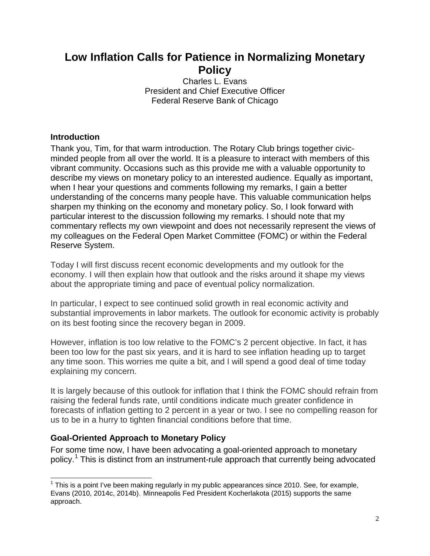# **Low Inflation Calls for Patience in Normalizing Monetary Policy**

Charles L. Evans President and Chief Executive Officer Federal Reserve Bank of Chicago

### **Introduction**

Thank you, Tim, for that warm introduction. The Rotary Club brings together civicminded people from all over the world. It is a pleasure to interact with members of this vibrant community. Occasions such as this provide me with a valuable opportunity to describe my views on monetary policy to an interested audience. Equally as important, when I hear your questions and comments following my remarks, I gain a better understanding of the concerns many people have. This valuable communication helps sharpen my thinking on the economy and monetary policy. So, I look forward with particular interest to the discussion following my remarks. I should note that my commentary reflects my own viewpoint and does not necessarily represent the views of my colleagues on the Federal Open Market Committee (FOMC) or within the Federal Reserve System.

Today I will first discuss recent economic developments and my outlook for the economy. I will then explain how that outlook and the risks around it shape my views about the appropriate timing and pace of eventual policy normalization.

In particular, I expect to see continued solid growth in real economic activity and substantial improvements in labor markets. The outlook for economic activity is probably on its best footing since the recovery began in 2009.

However, inflation is too low relative to the FOMC's 2 percent objective. In fact, it has been too low for the past six years, and it is hard to see inflation heading up to target any time soon. This worries me quite a bit, and I will spend a good deal of time today explaining my concern.

It is largely because of this outlook for inflation that I think the FOMC should refrain from raising the federal funds rate, until conditions indicate much greater confidence in forecasts of inflation getting to 2 percent in a year or two. I see no compelling reason for us to be in a hurry to tighten financial conditions before that time.

### **Goal-Oriented Approach to Monetary Policy**

For some time now, I have been advocating a goal-oriented approach to monetary policy.<sup>[1](#page-1-0)</sup> This is distinct from an instrument-rule approach that currently being advocated

<span id="page-1-0"></span> $1$  This is a point I've been making regularly in my public appearances since 2010. See, for example, Evans (2010, 2014c, 2014b). Minneapolis Fed President Kocherlakota (2015) supports the same approach.  $\overline{a}$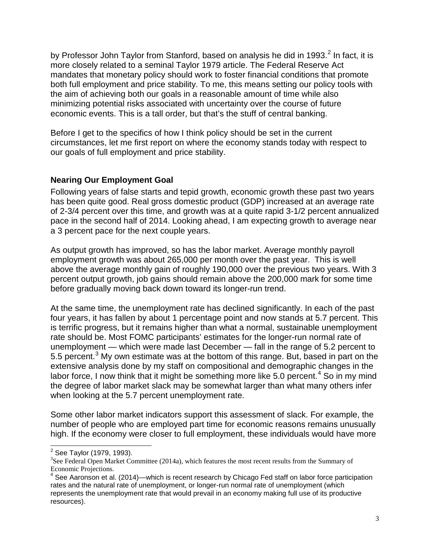by Professor John Taylor from Stanford, based on analysis he did in 1993.<sup>[2](#page-2-0)</sup> In fact, it is more closely related to a seminal Taylor 1979 article. The Federal Reserve Act mandates that monetary policy should work to foster financial conditions that promote both full employment and price stability. To me, this means setting our policy tools with the aim of achieving both our goals in a reasonable amount of time while also minimizing potential risks associated with uncertainty over the course of future economic events. This is a tall order, but that's the stuff of central banking.

Before I get to the specifics of how I think policy should be set in the current circumstances, let me first report on where the economy stands today with respect to our goals of full employment and price stability.

#### **Nearing Our Employment Goal**

Following years of false starts and tepid growth, economic growth these past two years has been quite good. Real gross domestic product (GDP) increased at an average rate of 2-3/4 percent over this time, and growth was at a quite rapid 3-1/2 percent annualized pace in the second half of 2014. Looking ahead, I am expecting growth to average near a 3 percent pace for the next couple years.

As output growth has improved, so has the labor market. Average monthly payroll employment growth was about 265,000 per month over the past year. This is well above the average monthly gain of roughly 190,000 over the previous two years. With 3 percent output growth, job gains should remain above the 200,000 mark for some time before gradually moving back down toward its longer-run trend.

At the same time, the unemployment rate has declined significantly. In each of the past four years, it has fallen by about 1 percentage point and now stands at 5.7 percent. This is terrific progress, but it remains higher than what a normal, sustainable unemployment rate should be. Most FOMC participants' estimates for the longer-run normal rate of unemployment — which were made last December — fall in the range of 5.2 percent to 5.5 percent.<sup>[3](#page-2-1)</sup> My own estimate was at the bottom of this range. But, based in part on the extensive analysis done by my staff on compositional and demographic changes in the labor force, I now think that it might be something more like 5.0 percent.<sup>[4](#page-2-2)</sup> So in my mind the degree of labor market slack may be somewhat larger than what many others infer when looking at the 5.7 percent unemployment rate.

Some other labor market indicators support this assessment of slack. For example, the number of people who are employed part time for economic reasons remains unusually high. If the economy were closer to full employment, these individuals would have more

<sup>&</sup>lt;sup>2</sup> See Taylor (1979, 1993).  $\overline{\phantom{a}}$ 

<span id="page-2-1"></span><span id="page-2-0"></span><sup>&</sup>lt;sup>3</sup>See Federal Open Market Committee (2014a), which features the most recent results from the Summary of Economic Projections.

<span id="page-2-2"></span><sup>4</sup> See Aaronson et al. (2014)—which is recent research by Chicago Fed staff on labor force participation rates and the natural rate of unemployment, or longer-run normal rate of unemployment (which represents the unemployment rate that would prevail in an economy making full use of its productive resources).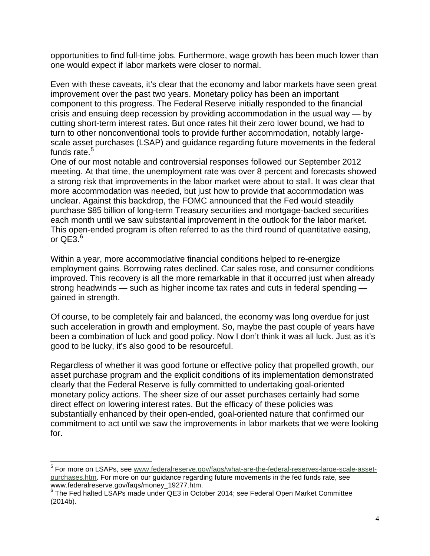opportunities to find full-time jobs. Furthermore, wage growth has been much lower than one would expect if labor markets were closer to normal.

Even with these caveats, it's clear that the economy and labor markets have seen great improvement over the past two years. Monetary policy has been an important component to this progress. The Federal Reserve initially responded to the financial crisis and ensuing deep recession by providing accommodation in the usual way — by cutting short-term interest rates. But once rates hit their zero lower bound, we had to turn to other nonconventional tools to provide further accommodation, notably largescale asset purchases (LSAP) and guidance regarding future movements in the federal funds rate.<sup>[5](#page-3-0)</sup>

One of our most notable and controversial responses followed our September 2012 meeting. At that time, the unemployment rate was over 8 percent and forecasts showed a strong risk that improvements in the labor market were about to stall. It was clear that more accommodation was needed, but just how to provide that accommodation was unclear. Against this backdrop, the FOMC announced that the Fed would steadily purchase \$85 billion of long-term Treasury securities and mortgage-backed securities each month until we saw substantial improvement in the outlook for the labor market. This open-ended program is often referred to as the third round of quantitative easing, or  $QE3<sup>6</sup>$  $QE3<sup>6</sup>$  $QE3<sup>6</sup>$ 

Within a year, more accommodative financial conditions helped to re-energize employment gains. Borrowing rates declined. Car sales rose, and consumer conditions improved. This recovery is all the more remarkable in that it occurred just when already strong headwinds — such as higher income tax rates and cuts in federal spending gained in strength.

Of course, to be completely fair and balanced, the economy was long overdue for just such acceleration in growth and employment. So, maybe the past couple of years have been a combination of luck and good policy. Now I don't think it was all luck. Just as it's good to be lucky, it's also good to be resourceful.

Regardless of whether it was good fortune or effective policy that propelled growth, our asset purchase program and the explicit conditions of its implementation demonstrated clearly that the Federal Reserve is fully committed to undertaking goal-oriented monetary policy actions. The sheer size of our asset purchases certainly had some direct effect on lowering interest rates. But the efficacy of these policies was substantially enhanced by their open-ended, goal-oriented nature that confirmed our commitment to act until we saw the improvements in labor markets that we were looking for.

 $\overline{a}$ 

<span id="page-3-0"></span><sup>&</sup>lt;sup>5</sup> For more on LSAPs, see [www.federalreserve.gov/faqs/what-are-the-federal-reserves-large-scale-asset](http://www.federalreserve.gov/faqs/what-are-the-federal-reserves-large-scale-asset-purchases.htm)[purchases.htm.](http://www.federalreserve.gov/faqs/what-are-the-federal-reserves-large-scale-asset-purchases.htm) For more on our guidance regarding future movements in the fed funds rate, see<br>www.federalreserve.gov/fags/money 19277.htm.

<span id="page-3-1"></span><sup>&</sup>lt;sup>6</sup> The Fed halted LSAPs made under QE3 in October 2014; see Federal Open Market Committee (2014b).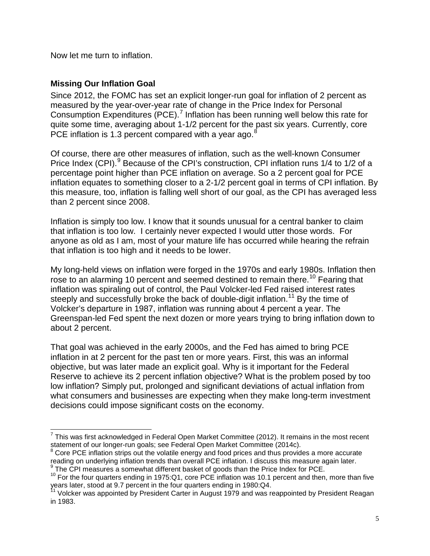Now let me turn to inflation.

#### **Missing Our Inflation Goal**

Since 2012, the FOMC has set an explicit longer-run goal for inflation of 2 percent as measured by the year-over-year rate of change in the Price Index for Personal Consumption Expenditures (PCE).<sup>[7](#page-4-0)</sup> Inflation has been running well below this rate for quite some time, averaging about 1-1/2 percent for the past six years. Currently, core PCE inflation is 1.3 percent compared with a year ago. $\delta$ 

Of course, there are other measures of inflation, such as the well-known Consumer Price Index (CPI).<sup>[9](#page-4-2)</sup> Because of the CPI's construction, CPI inflation runs 1/4 to 1/2 of a percentage point higher than PCE inflation on average. So a 2 percent goal for PCE inflation equates to something closer to a 2-1/2 percent goal in terms of CPI inflation. By this measure, too, inflation is falling well short of our goal, as the CPI has averaged less than 2 percent since 2008.

Inflation is simply too low. I know that it sounds unusual for a central banker to claim that inflation is too low. I certainly never expected I would utter those words. For anyone as old as I am, most of your mature life has occurred while hearing the refrain that inflation is too high and it needs to be lower.

My long-held views on inflation were forged in the 1970s and early 1980s. Inflation then rose to an alarming [10](#page-4-3) percent and seemed destined to remain there.<sup>10</sup> Fearing that inflation was spiraling out of control, the Paul Volcker-led Fed raised interest rates steeply and successfully broke the back of double-digit inflation.<sup>[11](#page-4-4)</sup> By the time of Volcker's departure in 1987, inflation was running about 4 percent a year. The Greenspan-led Fed spent the next dozen or more years trying to bring inflation down to about 2 percent.

That goal was achieved in the early 2000s, and the Fed has aimed to bring PCE inflation in at 2 percent for the past ten or more years. First, this was an informal objective, but was later made an explicit goal. Why is it important for the Federal Reserve to achieve its 2 percent inflation objective? What is the problem posed by too low inflation? Simply put, prolonged and significant deviations of actual inflation from what consumers and businesses are expecting when they make long-term investment decisions could impose significant costs on the economy.

 $7$  This was first acknowledged in Federal Open Market Committee (2012). It remains in the most recent  $\overline{a}$ 

<span id="page-4-1"></span><span id="page-4-0"></span>statement of our longer-run goals; see Federal Open Market Committee (2014c).<br><sup>8</sup> Core PCE inflation strips out the volatile energy and food prices and thus provides a more accurate reading on underlying inflation trends t

 $\degree$  The CPI measures a somewhat different basket of goods than the Price Index for PCE.

<span id="page-4-3"></span><span id="page-4-2"></span><sup>&</sup>lt;sup>10</sup> For the four quarters ending in 1975:Q1, core PCE inflation was 10.1 percent and then, more than five years later, stood at 9.7 percent in the four quarters ending in 1980:Q4.<br><sup>11</sup> Volcker was appointed by President Carter in August 1979 and was reappointed by President Reagan

<span id="page-4-4"></span>in 1983.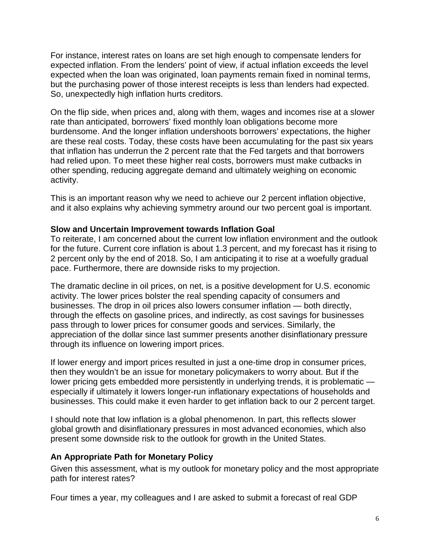For instance, interest rates on loans are set high enough to compensate lenders for expected inflation. From the lenders' point of view, if actual inflation exceeds the level expected when the loan was originated, loan payments remain fixed in nominal terms, but the purchasing power of those interest receipts is less than lenders had expected. So, unexpectedly high inflation hurts creditors.

On the flip side, when prices and, along with them, wages and incomes rise at a slower rate than anticipated, borrowers' fixed monthly loan obligations become more burdensome. And the longer inflation undershoots borrowers' expectations, the higher are these real costs. Today, these costs have been accumulating for the past six years that inflation has underrun the 2 percent rate that the Fed targets and that borrowers had relied upon. To meet these higher real costs, borrowers must make cutbacks in other spending, reducing aggregate demand and ultimately weighing on economic activity.

This is an important reason why we need to achieve our 2 percent inflation objective, and it also explains why achieving symmetry around our two percent goal is important.

#### **Slow and Uncertain Improvement towards Inflation Goal**

To reiterate, I am concerned about the current low inflation environment and the outlook for the future. Current core inflation is about 1.3 percent, and my forecast has it rising to 2 percent only by the end of 2018. So, I am anticipating it to rise at a woefully gradual pace. Furthermore, there are downside risks to my projection.

The dramatic decline in oil prices, on net, is a positive development for U.S. economic activity. The lower prices bolster the real spending capacity of consumers and businesses. The drop in oil prices also lowers consumer inflation — both directly, through the effects on gasoline prices, and indirectly, as cost savings for businesses pass through to lower prices for consumer goods and services. Similarly, the appreciation of the dollar since last summer presents another disinflationary pressure through its influence on lowering import prices.

If lower energy and import prices resulted in just a one-time drop in consumer prices, then they wouldn't be an issue for monetary policymakers to worry about. But if the lower pricing gets embedded more persistently in underlying trends, it is problematic especially if ultimately it lowers longer-run inflationary expectations of households and businesses. This could make it even harder to get inflation back to our 2 percent target.

I should note that low inflation is a global phenomenon. In part, this reflects slower global growth and disinflationary pressures in most advanced economies, which also present some downside risk to the outlook for growth in the United States.

### **An Appropriate Path for Monetary Policy**

Given this assessment, what is my outlook for monetary policy and the most appropriate path for interest rates?

Four times a year, my colleagues and I are asked to submit a forecast of real GDP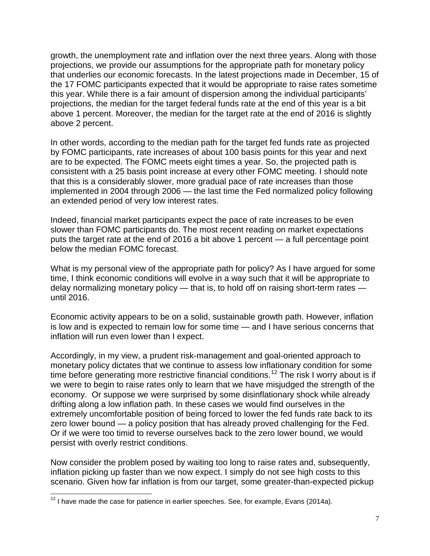growth, the unemployment rate and inflation over the next three years. Along with those projections, we provide our assumptions for the appropriate path for monetary policy that underlies our economic forecasts. In the latest projections made in December, 15 of the 17 FOMC participants expected that it would be appropriate to raise rates sometime this year. While there is a fair amount of dispersion among the individual participants' projections, the median for the target federal funds rate at the end of this year is a bit above 1 percent. Moreover, the median for the target rate at the end of 2016 is slightly above 2 percent.

In other words, according to the median path for the target fed funds rate as projected by FOMC participants, rate increases of about 100 basis points for this year and next are to be expected. The FOMC meets eight times a year. So, the projected path is consistent with a 25 basis point increase at every other FOMC meeting. I should note that this is a considerably slower, more gradual pace of rate increases than those implemented in 2004 through 2006 — the last time the Fed normalized policy following an extended period of very low interest rates.

Indeed, financial market participants expect the pace of rate increases to be even slower than FOMC participants do. The most recent reading on market expectations puts the target rate at the end of 2016 a bit above 1 percent — a full percentage point below the median FOMC forecast.

What is my personal view of the appropriate path for policy? As I have argued for some time, I think economic conditions will evolve in a way such that it will be appropriate to delay normalizing monetary policy — that is, to hold off on raising short-term rates until 2016.

Economic activity appears to be on a solid, sustainable growth path. However, inflation is low and is expected to remain low for some time — and I have serious concerns that inflation will run even lower than I expect.

Accordingly, in my view, a prudent risk-management and goal-oriented approach to monetary policy dictates that we continue to assess low inflationary condition for some time before generating more restrictive financial conditions.<sup>[12](#page-6-0)</sup> The risk I worry about is if we were to begin to raise rates only to learn that we have misjudged the strength of the economy. Or suppose we were surprised by some disinflationary shock while already drifting along a low inflation path. In these cases we would find ourselves in the extremely uncomfortable position of being forced to lower the fed funds rate back to its zero lower bound — a policy position that has already proved challenging for the Fed. Or if we were too timid to reverse ourselves back to the zero lower bound, we would persist with overly restrict conditions.

Now consider the problem posed by waiting too long to raise rates and, subsequently, inflation picking up faster than we now expect. I simply do not see high costs to this scenario. Given how far inflation is from our target, some greater-than-expected pickup

 $\overline{a}$ 

<span id="page-6-0"></span> $12$  I have made the case for patience in earlier speeches. See, for example, Evans (2014a).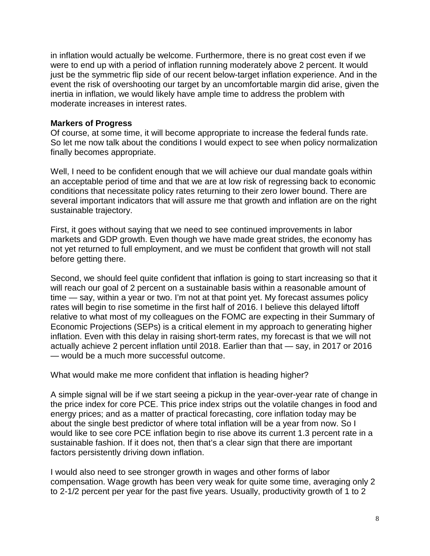in inflation would actually be welcome. Furthermore, there is no great cost even if we were to end up with a period of inflation running moderately above 2 percent. It would just be the symmetric flip side of our recent below-target inflation experience. And in the event the risk of overshooting our target by an uncomfortable margin did arise, given the inertia in inflation, we would likely have ample time to address the problem with moderate increases in interest rates.

#### **Markers of Progress**

Of course, at some time, it will become appropriate to increase the federal funds rate. So let me now talk about the conditions I would expect to see when policy normalization finally becomes appropriate.

Well, I need to be confident enough that we will achieve our dual mandate goals within an acceptable period of time and that we are at low risk of regressing back to economic conditions that necessitate policy rates returning to their zero lower bound. There are several important indicators that will assure me that growth and inflation are on the right sustainable trajectory.

First, it goes without saying that we need to see continued improvements in labor markets and GDP growth. Even though we have made great strides, the economy has not yet returned to full employment, and we must be confident that growth will not stall before getting there.

Second, we should feel quite confident that inflation is going to start increasing so that it will reach our goal of 2 percent on a sustainable basis within a reasonable amount of time — say, within a year or two. I'm not at that point yet. My forecast assumes policy rates will begin to rise sometime in the first half of 2016. I believe this delayed liftoff relative to what most of my colleagues on the FOMC are expecting in their Summary of Economic Projections (SEPs) is a critical element in my approach to generating higher inflation. Even with this delay in raising short-term rates, my forecast is that we will not actually achieve 2 percent inflation until 2018. Earlier than that — say, in 2017 or 2016 — would be a much more successful outcome.

What would make me more confident that inflation is heading higher?

A simple signal will be if we start seeing a pickup in the year-over-year rate of change in the price index for core PCE. This price index strips out the volatile changes in food and energy prices; and as a matter of practical forecasting, core inflation today may be about the single best predictor of where total inflation will be a year from now. So I would like to see core PCE inflation begin to rise above its current 1.3 percent rate in a sustainable fashion. If it does not, then that's a clear sign that there are important factors persistently driving down inflation.

I would also need to see stronger growth in wages and other forms of labor compensation. Wage growth has been very weak for quite some time, averaging only 2 to 2-1/2 percent per year for the past five years. Usually, productivity growth of 1 to 2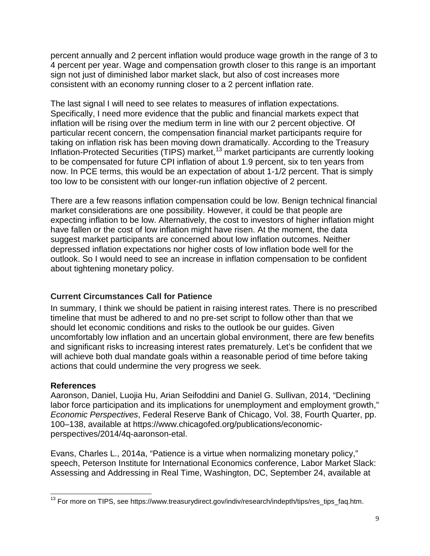percent annually and 2 percent inflation would produce wage growth in the range of 3 to 4 percent per year. Wage and compensation growth closer to this range is an important sign not just of diminished labor market slack, but also of cost increases more consistent with an economy running closer to a 2 percent inflation rate.

The last signal I will need to see relates to measures of inflation expectations. Specifically, I need more evidence that the public and financial markets expect that inflation will be rising over the medium term in line with our 2 percent objective. Of particular recent concern, the compensation financial market participants require for taking on inflation risk has been moving down dramatically. According to the Treasury Inflation-Protected Securities (TIPS) market,<sup>[13](#page-8-0)</sup> market participants are currently looking to be compensated for future CPI inflation of about 1.9 percent, six to ten years from now. In PCE terms, this would be an expectation of about 1-1/2 percent. That is simply too low to be consistent with our longer-run inflation objective of 2 percent.

There are a few reasons inflation compensation could be low. Benign technical financial market considerations are one possibility. However, it could be that people are expecting inflation to be low. Alternatively, the cost to investors of higher inflation might have fallen or the cost of low inflation might have risen. At the moment, the data suggest market participants are concerned about low inflation outcomes. Neither depressed inflation expectations nor higher costs of low inflation bode well for the outlook. So I would need to see an increase in inflation compensation to be confident about tightening monetary policy.

### **Current Circumstances Call for Patience**

In summary, I think we should be patient in raising interest rates. There is no prescribed timeline that must be adhered to and no pre-set script to follow other than that we should let economic conditions and risks to the outlook be our guides. Given uncomfortably low inflation and an uncertain global environment, there are few benefits and significant risks to increasing interest rates prematurely. Let's be confident that we will achieve both dual mandate goals within a reasonable period of time before taking actions that could undermine the very progress we seek.

#### **References**

Aaronson, Daniel, Luojia Hu, Arian Seifoddini and Daniel G. Sullivan, 2014, "Declining labor force participation and its implications for unemployment and employment growth," *Economic Perspectives*, Federal Reserve Bank of Chicago, Vol. 38, Fourth Quarter, pp. 100–138, available at https://www.chicagofed.org/publications/economicperspectives/2014/4q-aaronson-etal.

Evans, Charles L., 2014a, "Patience is a virtue when normalizing monetary policy," speech, Peterson Institute for International Economics conference, Labor Market Slack: Assessing and Addressing in Real Time, Washington, DC, September 24, available at

<span id="page-8-0"></span> $^{13}$  For more on TIPS, see https://www.treasurydirect.gov/indiv/research/indepth/tips/res\_tips\_faq.htm.  $\overline{a}$